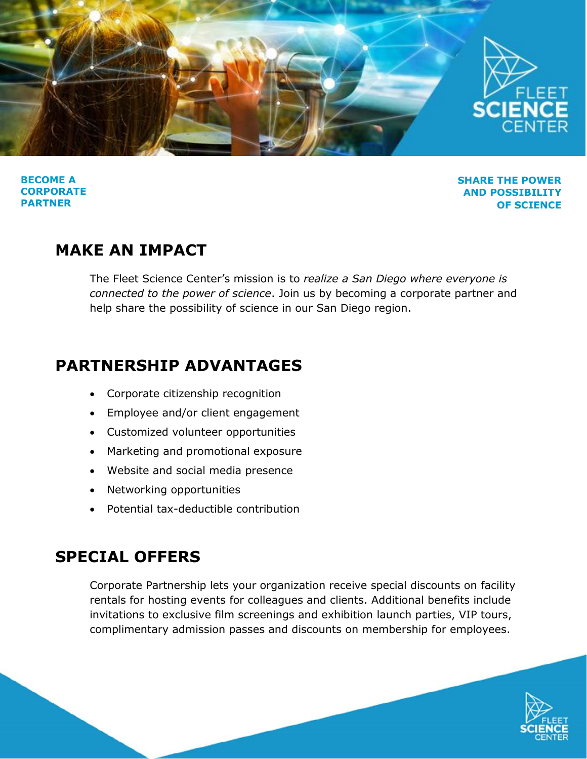

**BECOME A CORPORATE PARTNER** 

**SHARE THE POWER AND POSSIBILITY OF SCIENCE**

## **MAKE AN IMPACT**

The Fleet Science Center's mission is to *realize a San Diego where everyone is connected to the power of science*. Join us by becoming a corporate partner and help share the possibility of science in our San Diego region.

## **PARTNERSHIP ADVANTAGES**

- Corporate citizenship recognition
- Employee and/or client engagement
- Customized volunteer opportunities
- Marketing and promotional exposure
- Website and social media presence
- Networking opportunities
- Potential tax-deductible contribution

## **SPECIAL OFFERS**

Corporate Partnership lets your organization receive special discounts on facility rentals for hosting events for colleagues and clients. Additional benefits include invitations to exclusive film screenings and exhibition launch parties, VIP tours, complimentary admission passes and discounts on membership for employees.